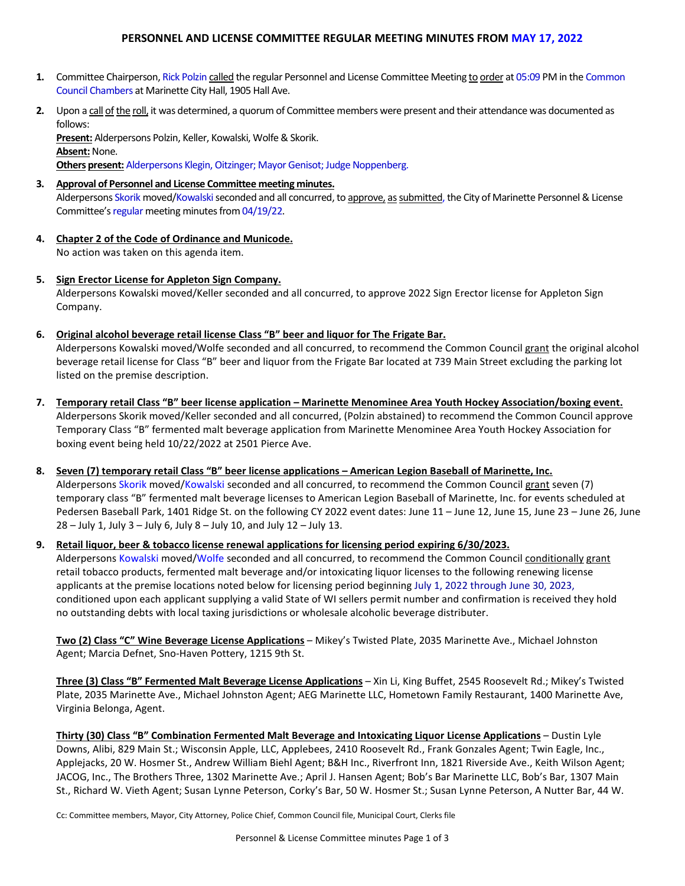# **PERSONNEL AND LICENSE COMMITTEE REGULAR MEETING MINUTES FROM MAY 17, 2022**

- **1.** Committee Chairperson, Rick Polzin called the regular Personnel and License Committee Meeting to order at 05:09 PM in the Common Council Chambers at Marinette City Hall, 1905 Hall Ave.
- **2.** Upon a call of the roll, it was determined, a quorum of Committee members were present and their attendance was documented as follows:

**Present:** Alderpersons Polzin, Keller, Kowalski, Wolfe& Skorik. **Absent: None. Others present:** Alderpersons Klegin, Oitzinger; Mayor Genisot; Judge Noppenberg.

- **3. Approval of Personnel and License Committee meeting minutes.** Alderpersons Skorik moved/Kowalski seconded and all concurred, to approve, as submitted, the City of Marinette Personnel & License Committee's regular meeting minutes from 04/19/22.
- **4. Chapter 2 of the Code of Ordinance and Municode.** No action was taken on this agenda item.
- **5. Sign Erector License for Appleton Sign Company.** Alderpersons Kowalski moved/Keller seconded and all concurred, to approve 2022 Sign Erector license for Appleton Sign Company.
- **6. Original alcohol beverage retail license Class "B" beer and liquor for The Frigate Bar.** Alderpersons Kowalski moved/Wolfe seconded and all concurred, to recommend the Common Council grant the original alcohol beverage retail license for Class "B" beer and liquor from the Frigate Bar located at 739 Main Street excluding the parking lot

listed on the premise description. **7. Temporary retail Class "B" beer license application – Marinette Menominee Area Youth Hockey Association/boxing event.**

Alderpersons Skorik moved/Keller seconded and all concurred, (Polzin abstained) to recommend the Common Council approve Temporary Class "B" fermented malt beverage application from Marinette Menominee Area Youth Hockey Association for boxing event being held 10/22/2022 at 2501 Pierce Ave.

**8. Seven (7) temporary retail Class "B" beer license applications – American Legion Baseball of Marinette, Inc.**  Alderpersons Skorik moved/Kowalski seconded and all concurred, to recommend the Common Council grant seven (7) temporary class "B" fermented malt beverage licenses to American Legion Baseball of Marinette, Inc. for events scheduled at Pedersen Baseball Park, 1401 Ridge St. on the following CY 2022 event dates: June 11 – June 12, June 15, June 23 – June 26, June 28 – July 1, July 3 – July 6, July 8 – July 10, and July 12 – July 13.

## **9. Retail liquor, beer & tobacco license renewal applications for licensing period expiring 6/30/2023.**

Alderpersons Kowalski moved/Wolfe seconded and all concurred, to recommend the Common Council conditionally grant retail tobacco products, fermented malt beverage and/or intoxicating liquor licenses to the following renewing license applicants at the premise locations noted below for licensing period beginning July 1, 2022 through June 30, 2023, conditioned upon each applicant supplying a valid State of WI sellers permit number and confirmation is received they hold no outstanding debts with local taxing jurisdictions or wholesale alcoholic beverage distributer.

**Two (2) Class "C" Wine Beverage License Applications** – Mikey's Twisted Plate, 2035 Marinette Ave., Michael Johnston Agent; Marcia Defnet, Sno-Haven Pottery, 1215 9th St.

**Three (3) Class "B" Fermented Malt Beverage License Applications** – Xin Li, King Buffet, 2545 Roosevelt Rd.; Mikey's Twisted Plate, 2035 Marinette Ave., Michael Johnston Agent; AEG Marinette LLC, Hometown Family Restaurant, 1400 Marinette Ave, Virginia Belonga, Agent.

**Thirty (30) Class "B" Combination Fermented Malt Beverage and Intoxicating Liquor License Applications** – Dustin Lyle Downs, Alibi, 829 Main St.; Wisconsin Apple, LLC, Applebees, 2410 Roosevelt Rd., Frank Gonzales Agent; Twin Eagle, Inc., Applejacks, 20 W. Hosmer St., Andrew William Biehl Agent; B&H Inc., Riverfront Inn, 1821 Riverside Ave., Keith Wilson Agent; JACOG, Inc., The Brothers Three, 1302 Marinette Ave.; April J. Hansen Agent; Bob's Bar Marinette LLC, Bob's Bar, 1307 Main St., Richard W. Vieth Agent; Susan Lynne Peterson, Corky's Bar, 50 W. Hosmer St.; Susan Lynne Peterson, A Nutter Bar, 44 W.

Cc: Committee members, Mayor, City Attorney, Police Chief, Common Council file, Municipal Court, Clerks file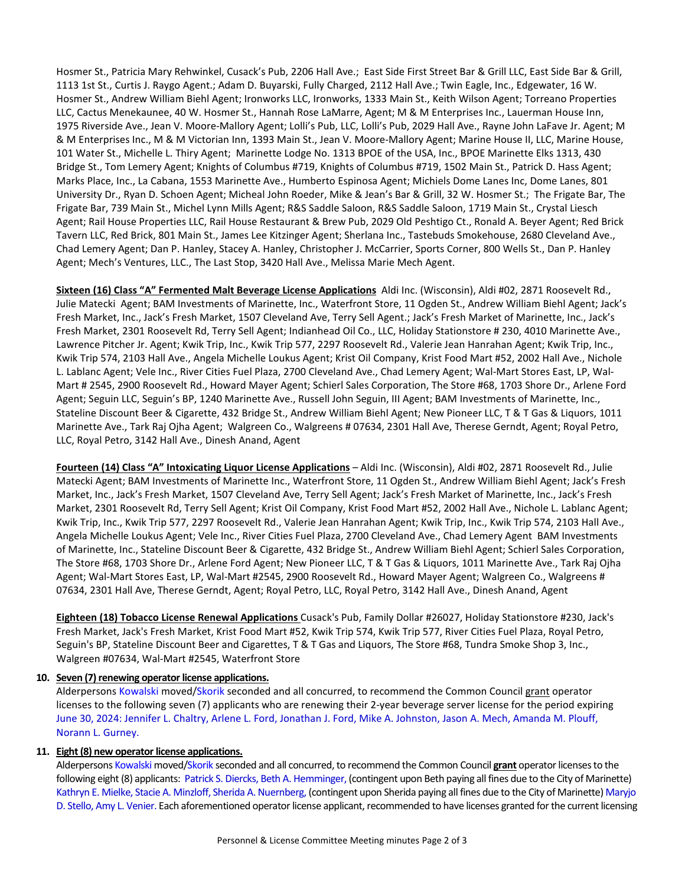Hosmer St., Patricia Mary Rehwinkel, Cusack's Pub, 2206 Hall Ave.; East Side First Street Bar & Grill LLC, East Side Bar & Grill, 1113 1st St., Curtis J. Raygo Agent.; Adam D. Buyarski, Fully Charged, 2112 Hall Ave.; Twin Eagle, Inc., Edgewater, 16 W. Hosmer St., Andrew William Biehl Agent; Ironworks LLC, Ironworks, 1333 Main St., Keith Wilson Agent; Torreano Properties LLC, Cactus Menekaunee, 40 W. Hosmer St., Hannah Rose LaMarre, Agent; M & M Enterprises Inc., Lauerman House Inn, 1975 Riverside Ave., Jean V. Moore-Mallory Agent; Lolli's Pub, LLC, Lolli's Pub, 2029 Hall Ave., Rayne John LaFave Jr. Agent; M & M Enterprises Inc., M & M Victorian Inn, 1393 Main St., Jean V. Moore-Mallory Agent; Marine House II, LLC, Marine House, 101 Water St., Michelle L. Thiry Agent; Marinette Lodge No. 1313 BPOE of the USA, Inc., BPOE Marinette Elks 1313, 430 Bridge St., Tom Lemery Agent; Knights of Columbus #719, Knights of Columbus #719, 1502 Main St., Patrick D. Hass Agent; Marks Place, Inc., La Cabana, 1553 Marinette Ave., Humberto Espinosa Agent; Michiels Dome Lanes Inc, Dome Lanes, 801 University Dr., Ryan D. Schoen Agent; Micheal John Roeder, Mike & Jean's Bar & Grill, 32 W. Hosmer St.; The Frigate Bar, The Frigate Bar, 739 Main St., Michel Lynn Mills Agent; R&S Saddle Saloon, R&S Saddle Saloon, 1719 Main St., Crystal Liesch Agent; Rail House Properties LLC, Rail House Restaurant & Brew Pub, 2029 Old Peshtigo Ct., Ronald A. Beyer Agent; Red Brick Tavern LLC, Red Brick, 801 Main St., James Lee Kitzinger Agent; Sherlana Inc., Tastebuds Smokehouse, 2680 Cleveland Ave., Chad Lemery Agent; Dan P. Hanley, Stacey A. Hanley, Christopher J. McCarrier, Sports Corner, 800 Wells St., Dan P. Hanley Agent; Mech's Ventures, LLC., The Last Stop, 3420 Hall Ave., Melissa Marie Mech Agent.

**Sixteen (16) Class "A" Fermented Malt Beverage License Applications** Aldi Inc. (Wisconsin), Aldi #02, 2871 Roosevelt Rd., Julie Matecki Agent; BAM Investments of Marinette, Inc., Waterfront Store, 11 Ogden St., Andrew William Biehl Agent; Jack's Fresh Market, Inc., Jack's Fresh Market, 1507 Cleveland Ave, Terry Sell Agent.; Jack's Fresh Market of Marinette, Inc., Jack's Fresh Market, 2301 Roosevelt Rd, Terry Sell Agent; Indianhead Oil Co., LLC, Holiday Stationstore # 230, 4010 Marinette Ave., Lawrence Pitcher Jr. Agent; Kwik Trip, Inc., Kwik Trip 577, 2297 Roosevelt Rd., Valerie Jean Hanrahan Agent; Kwik Trip, Inc., Kwik Trip 574, 2103 Hall Ave., Angela Michelle Loukus Agent; Krist Oil Company, Krist Food Mart #52, 2002 Hall Ave., Nichole L. Lablanc Agent; Vele Inc., River Cities Fuel Plaza, 2700 Cleveland Ave., Chad Lemery Agent; Wal-Mart Stores East, LP, Wal-Mart # 2545, 2900 Roosevelt Rd., Howard Mayer Agent; Schierl Sales Corporation, The Store #68, 1703 Shore Dr., Arlene Ford Agent; Seguin LLC, Seguin's BP, 1240 Marinette Ave., Russell John Seguin, III Agent; BAM Investments of Marinette, Inc., Stateline Discount Beer & Cigarette, 432 Bridge St., Andrew William Biehl Agent; New Pioneer LLC, T & T Gas & Liquors, 1011 Marinette Ave., Tark Raj Ojha Agent; Walgreen Co., Walgreens # 07634, 2301 Hall Ave, Therese Gerndt, Agent; Royal Petro, LLC, Royal Petro, 3142 Hall Ave., Dinesh Anand, Agent

**Fourteen (14) Class "A" Intoxicating Liquor License Applications** – Aldi Inc. (Wisconsin), Aldi #02, 2871 Roosevelt Rd., Julie Matecki Agent; BAM Investments of Marinette Inc., Waterfront Store, 11 Ogden St., Andrew William Biehl Agent; Jack's Fresh Market, Inc., Jack's Fresh Market, 1507 Cleveland Ave, Terry Sell Agent; Jack's Fresh Market of Marinette, Inc., Jack's Fresh Market, 2301 Roosevelt Rd, Terry Sell Agent; Krist Oil Company, Krist Food Mart #52, 2002 Hall Ave., Nichole L. Lablanc Agent; Kwik Trip, Inc., Kwik Trip 577, 2297 Roosevelt Rd., Valerie Jean Hanrahan Agent; Kwik Trip, Inc., Kwik Trip 574, 2103 Hall Ave., Angela Michelle Loukus Agent; Vele Inc., River Cities Fuel Plaza, 2700 Cleveland Ave., Chad Lemery Agent BAM Investments of Marinette, Inc., Stateline Discount Beer & Cigarette, 432 Bridge St., Andrew William Biehl Agent; Schierl Sales Corporation, The Store #68, 1703 Shore Dr., Arlene Ford Agent; New Pioneer LLC, T & T Gas & Liquors, 1011 Marinette Ave., Tark Raj Ojha Agent; Wal-Mart Stores East, LP, Wal-Mart #2545, 2900 Roosevelt Rd., Howard Mayer Agent; Walgreen Co., Walgreens # 07634, 2301 Hall Ave, Therese Gerndt, Agent; Royal Petro, LLC, Royal Petro, 3142 Hall Ave., Dinesh Anand, Agent

**Eighteen (18) Tobacco License Renewal Applications** Cusack's Pub, Family Dollar #26027, Holiday Stationstore #230, Jack's Fresh Market, Jack's Fresh Market, Krist Food Mart #52, Kwik Trip 574, Kwik Trip 577, River Cities Fuel Plaza, Royal Petro, Seguin's BP, Stateline Discount Beer and Cigarettes, T & T Gas and Liquors, The Store #68, Tundra Smoke Shop 3, Inc., Walgreen #07634, Wal-Mart #2545, Waterfront Store

## **10. Seven (7) renewing operator license applications.**

Alderpersons Kowalski moved/Skorik seconded and all concurred, to recommend the Common Council grant operator licenses to the following seven (7) applicants who are renewing their 2-year beverage server license for the period expiring June 30, 2024: Jennifer L. Chaltry, Arlene L. Ford, Jonathan J. Ford, Mike A. Johnston, Jason A. Mech, Amanda M. Plouff, Norann L. Gurney.

## **11. Eight(8) new operator license applications.**

Alderpersons Kowalski moved/Skorik seconded and all concurred, to recommend the Common Council grant operator licenses to the following eight (8) applicants: Patrick S. Diercks, Beth A. Hemminger, (contingent upon Beth paying all fines due to the City of Marinette) Kathryn E. Mielke, Stacie A. Minzloff, Sherida A. Nuernberg, (contingent upon Sherida paying all fines due to the City of Marinette) Maryjo D. Stello, Amy L. Venier. Each aforementioned operator license applicant, recommended to have licenses granted for the current licensing